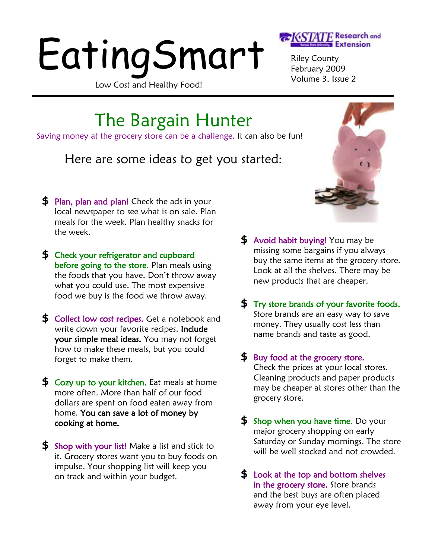# EatingSmart

Low Cost and Healthy Food!



Riley County February 2009 Volume 3, Issue 2

The Bargain Hunter

Saving money at the grocery store can be a challenge. It can also be fun!

## Here are some ideas to get you started:

- **\$** Plan, plan and plan! Check the ads in your local newspaper to see what is on sale. Plan meals for the week. Plan healthy snacks for the week.
- **\$** Check your refrigerator and cupboard before going to the store. Plan meals using the foods that you have. Don't throw away what you could use. The most expensive food we buy is the food we throw away.
- **\$** Collect low cost recipes. Get a notebook and write down your favorite recipes. **Include** your simple meal ideas. You may not forget how to make these meals, but you could forget to make them.
- **\$** Cozy up to your kitchen. Eat meals at home more often. More than half of our food dollars are spent on food eaten away from home. You can save a lot of money by cooking at home.
- **\$** Shop with your list! Make a list and stick to it. Grocery stores want you to buy foods on impulse. Your shopping list will keep you on track and within your budget.
- **\$** Avoid habit buying! You may be missing some bargains if you always buy the same items at the grocery store. Look at all the shelves. There may be new products that are cheaper.
- **\$** Try store brands of your favorite foods. Store brands are an easy way to save money. They usually cost less than name brands and taste as good.
- **\$** Buy food at the grocery store. Check the prices at your local stores. Cleaning products and paper products may be cheaper at stores other than the grocery store.
- **\$** Shop when you have time. Do your major grocery shopping on early Saturday or Sunday mornings. The store will be well stocked and not crowded.
- **\$** Look at the top and bottom shelves in the grocery store. Store brands and the best buys are often placed away from your eye level.